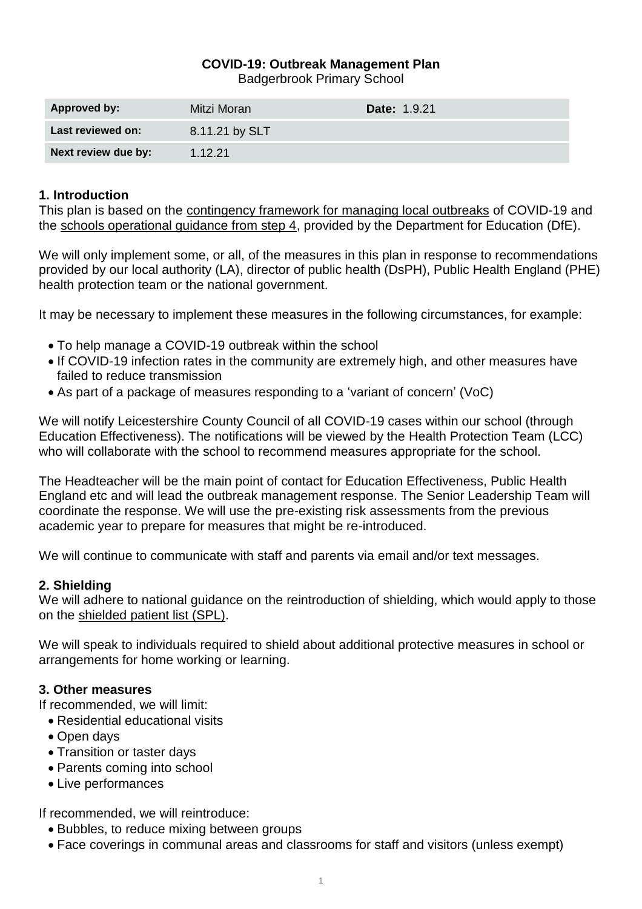# **COVID-19: Outbreak Management Plan**

Badgerbrook Primary School

| <b>Approved by:</b> | Mitzi Moran    | Date: 1.9.21 |
|---------------------|----------------|--------------|
| Last reviewed on:   | 8.11.21 by SLT |              |
| Next review due by: | 1.12.21        |              |

### **1. Introduction**

This plan is based on the [contingency framework for managing local outbreaks](https://www.gov.uk/government/publications/coronavirus-covid-19-local-restrictions-in-education-and-childcare-settings) of COVID-19 and the [schools operational guidance from step 4,](https://www.gov.uk/government/publications/actions-for-schools-during-the-coronavirus-outbreak) provided by the Department for Education (DfE).

We will only implement some, or all, of the measures in this plan in response to recommendations provided by our local authority (LA), director of public health (DsPH), Public Health England (PHE) health protection team or the national government.

It may be necessary to implement these measures in the following circumstances, for example:

- To help manage a COVID-19 outbreak within the school
- If COVID-19 infection rates in the community are extremely high, and other measures have failed to reduce transmission
- As part of a package of measures responding to a 'variant of concern' (VoC)

We will notify Leicestershire County Council of all COVID-19 cases within our school (through Education Effectiveness). The notifications will be viewed by the Health Protection Team (LCC) who will collaborate with the school to recommend measures appropriate for the school.

The Headteacher will be the main point of contact for Education Effectiveness, Public Health England etc and will lead the outbreak management response. The Senior Leadership Team will coordinate the response. We will use the pre-existing risk assessments from the previous academic year to prepare for measures that might be re-introduced.

We will continue to communicate with staff and parents via email and/or text messages.

### **2. Shielding**

We will adhere to national guidance on the reintroduction of shielding, which would apply to those on the shielded [patient list \(SPL\).](https://digital.nhs.uk/coronavirus/shielded-patient-list)

We will speak to individuals required to shield about additional protective measures in school or arrangements for home working or learning.

### **3. Other measures**

If recommended, we will limit:

- Residential educational visits
- Open days
- Transition or taster days
- Parents coming into school
- Live performances

If recommended, we will reintroduce:

- Bubbles, to reduce mixing between groups
- Face coverings in communal areas and classrooms for staff and visitors (unless exempt)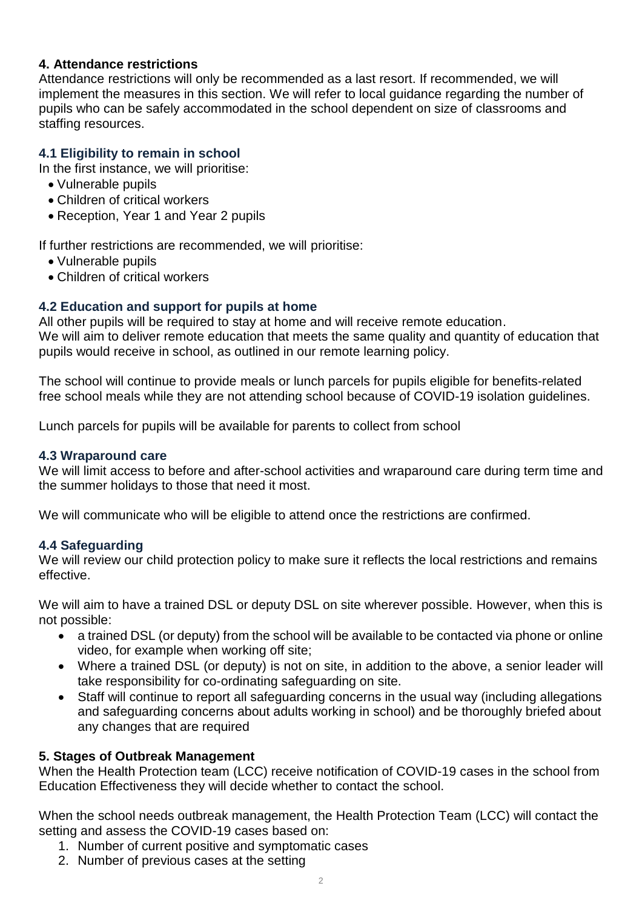### **4. Attendance restrictions**

Attendance restrictions will only be recommended as a last resort. If recommended, we will implement the measures in this section. We will refer to local guidance regarding the number of pupils who can be safely accommodated in the school dependent on size of classrooms and staffing resources.

# **4.1 Eligibility to remain in school**

In the first instance, we will prioritise:

- Vulnerable pupils
- Children of critical workers
- Reception, Year 1 and Year 2 pupils

If further restrictions are recommended, we will prioritise:

- Vulnerable pupils
- Children of critical workers

# **4.2 Education and support for pupils at home**

All other pupils will be required to stay at home and will receive remote education. We will aim to deliver remote education that meets the same quality and quantity of education that pupils would receive in school, as outlined in our remote learning policy.

The school will continue to provide meals or lunch parcels for pupils eligible for benefits-related free school meals while they are not attending school because of COVID-19 isolation guidelines.

Lunch parcels for pupils will be available for parents to collect from school

### **4.3 Wraparound care**

We will limit access to before and after-school activities and wraparound care during term time and the summer holidays to those that need it most.

We will communicate who will be eligible to attend once the restrictions are confirmed.

### **4.4 Safeguarding**

We will review our child protection policy to make sure it reflects the local restrictions and remains effective.

We will aim to have a trained DSL or deputy DSL on site wherever possible. However, when this is not possible:

- a trained DSL (or deputy) from the school will be available to be contacted via phone or online video, for example when working off site;
- Where a trained DSL (or deputy) is not on site, in addition to the above, a senior leader will take responsibility for co-ordinating safeguarding on site.
- Staff will continue to report all safeguarding concerns in the usual way (including allegations and safeguarding concerns about adults working in school) and be thoroughly briefed about any changes that are required

### **5. Stages of Outbreak Management**

When the Health Protection team (LCC) receive notification of COVID-19 cases in the school from Education Effectiveness they will decide whether to contact the school.

When the school needs outbreak management, the Health Protection Team (LCC) will contact the setting and assess the COVID-19 cases based on:

- 1. Number of current positive and symptomatic cases
- 2. Number of previous cases at the setting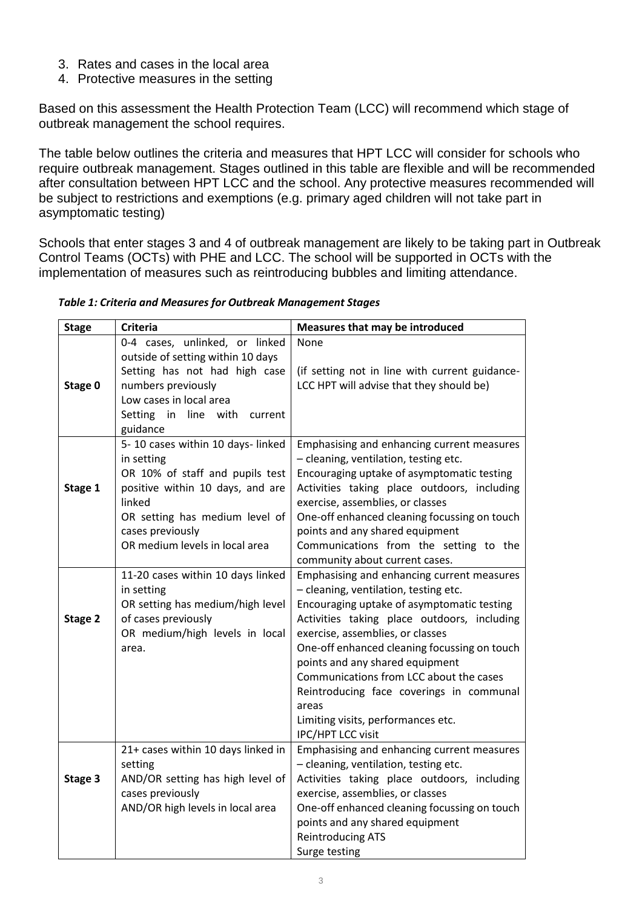- 3. Rates and cases in the local area
- 4. Protective measures in the setting

Based on this assessment the Health Protection Team (LCC) will recommend which stage of outbreak management the school requires.

The table below outlines the criteria and measures that HPT LCC will consider for schools who require outbreak management. Stages outlined in this table are flexible and will be recommended after consultation between HPT LCC and the school. Any protective measures recommended will be subject to restrictions and exemptions (e.g. primary aged children will not take part in asymptomatic testing)

Schools that enter stages 3 and 4 of outbreak management are likely to be taking part in Outbreak Control Teams (OCTs) with PHE and LCC. The school will be supported in OCTs with the implementation of measures such as reintroducing bubbles and limiting attendance.

| <b>Stage</b> | <b>Criteria</b>                                                     | Measures that may be introduced                                                            |
|--------------|---------------------------------------------------------------------|--------------------------------------------------------------------------------------------|
|              | 0-4 cases, unlinked, or linked<br>outside of setting within 10 days | None                                                                                       |
|              | Setting has not had high case<br>numbers previously                 | (if setting not in line with current guidance-<br>LCC HPT will advise that they should be) |
| Stage 0      | Low cases in local area                                             |                                                                                            |
|              | Setting in line with<br>current                                     |                                                                                            |
|              | guidance                                                            |                                                                                            |
|              | 5-10 cases within 10 days-linked                                    | Emphasising and enhancing current measures                                                 |
|              | in setting                                                          | - cleaning, ventilation, testing etc.                                                      |
|              | OR 10% of staff and pupils test                                     | Encouraging uptake of asymptomatic testing                                                 |
| Stage 1      | positive within 10 days, and are                                    | Activities taking place outdoors, including                                                |
|              | linked                                                              | exercise, assemblies, or classes                                                           |
|              | OR setting has medium level of                                      | One-off enhanced cleaning focussing on touch                                               |
|              | cases previously<br>OR medium levels in local area                  | points and any shared equipment<br>Communications from the setting to the                  |
|              |                                                                     | community about current cases.                                                             |
|              | 11-20 cases within 10 days linked                                   | Emphasising and enhancing current measures                                                 |
|              | in setting                                                          | - cleaning, ventilation, testing etc.                                                      |
|              | OR setting has medium/high level                                    | Encouraging uptake of asymptomatic testing                                                 |
| Stage 2      | of cases previously                                                 | Activities taking place outdoors, including                                                |
|              | OR medium/high levels in local                                      | exercise, assemblies, or classes                                                           |
|              | area.                                                               | One-off enhanced cleaning focussing on touch                                               |
|              |                                                                     | points and any shared equipment                                                            |
|              |                                                                     | Communications from LCC about the cases                                                    |
|              |                                                                     | Reintroducing face coverings in communal                                                   |
|              |                                                                     | areas<br>Limiting visits, performances etc.                                                |
|              |                                                                     | <b>IPC/HPT LCC visit</b>                                                                   |
|              | 21+ cases within 10 days linked in                                  | Emphasising and enhancing current measures                                                 |
|              | setting                                                             | - cleaning, ventilation, testing etc.                                                      |
| Stage 3      | AND/OR setting has high level of                                    | Activities taking place outdoors, including                                                |
|              | cases previously                                                    | exercise, assemblies, or classes                                                           |
|              | AND/OR high levels in local area                                    | One-off enhanced cleaning focussing on touch                                               |
|              |                                                                     | points and any shared equipment                                                            |
|              |                                                                     | <b>Reintroducing ATS</b>                                                                   |
|              |                                                                     | Surge testing                                                                              |

### *Table 1: Criteria and Measures for Outbreak Management Stages*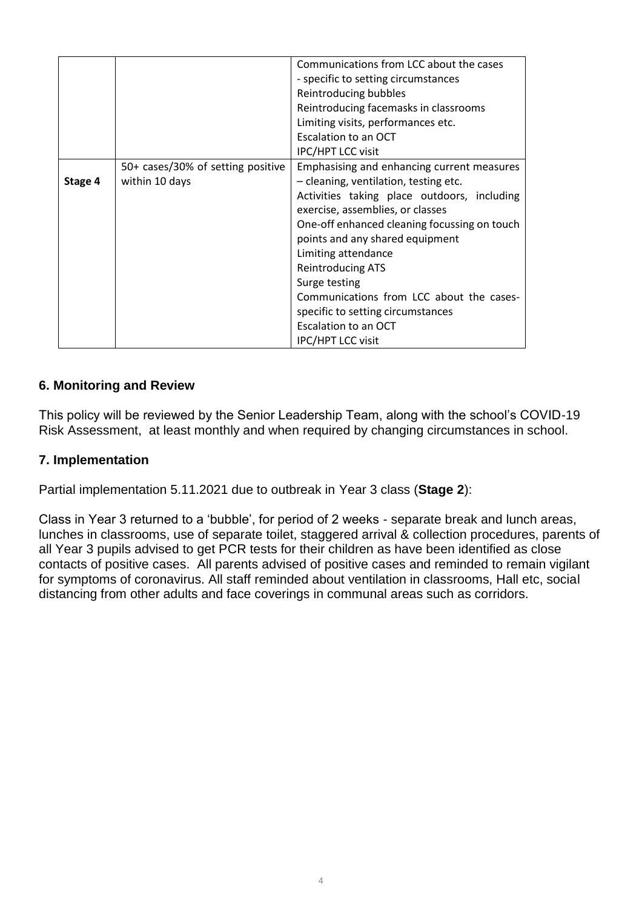|         |                                   | Communications from LCC about the cases      |
|---------|-----------------------------------|----------------------------------------------|
|         |                                   | - specific to setting circumstances          |
|         |                                   | Reintroducing bubbles                        |
|         |                                   | Reintroducing facemasks in classrooms        |
|         |                                   | Limiting visits, performances etc.           |
|         |                                   | Escalation to an OCT                         |
|         |                                   | IPC/HPT LCC visit                            |
|         | 50+ cases/30% of setting positive | Emphasising and enhancing current measures   |
| Stage 4 | within 10 days                    | - cleaning, ventilation, testing etc.        |
|         |                                   | Activities taking place outdoors, including  |
|         |                                   | exercise, assemblies, or classes             |
|         |                                   | One-off enhanced cleaning focussing on touch |
|         |                                   | points and any shared equipment              |
|         |                                   | Limiting attendance                          |
|         |                                   | <b>Reintroducing ATS</b>                     |
|         |                                   | Surge testing                                |
|         |                                   | Communications from LCC about the cases-     |
|         |                                   | specific to setting circumstances            |
|         |                                   | Escalation to an OCT                         |
|         |                                   | <b>IPC/HPT LCC visit</b>                     |

# **6. Monitoring and Review**

This policy will be reviewed by the Senior Leadership Team, along with the school's COVID-19 Risk Assessment, at least monthly and when required by changing circumstances in school.

# **7. Implementation**

Partial implementation 5.11.2021 due to outbreak in Year 3 class (**Stage 2**):

Class in Year 3 returned to a 'bubble', for period of 2 weeks - separate break and lunch areas, lunches in classrooms, use of separate toilet, staggered arrival & collection procedures, parents of all Year 3 pupils advised to get PCR tests for their children as have been identified as close contacts of positive cases. All parents advised of positive cases and reminded to remain vigilant for symptoms of coronavirus. All staff reminded about ventilation in classrooms, Hall etc, social distancing from other adults and face coverings in communal areas such as corridors.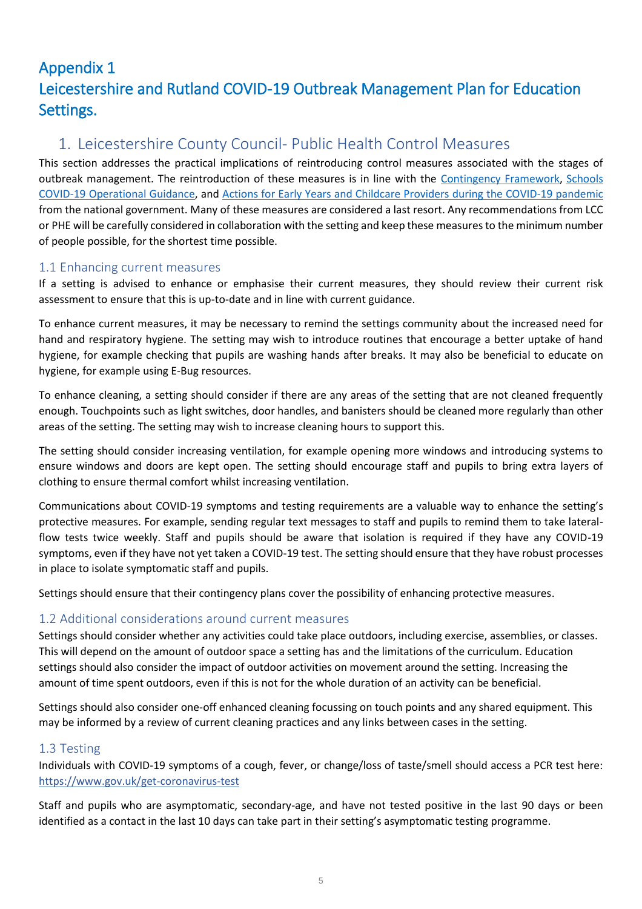# Appendix 1 Leicestershire and Rutland COVID-19 Outbreak Management Plan for Education Settings.

# 1. Leicestershire County Council- Public Health Control Measures

This section addresses the practical implications of reintroducing control measures associated with the stages of outbreak management. The reintroduction of these measures is in line with the [Contingency Framework,](https://www.gov.uk/government/publications/coronavirus-covid-19-local-restrictions-in-education-and-childcare-settings) [Schools](https://www.gov.uk/government/publications/actions-for-schools-during-the-coronavirus-outbreak/schools-covid-19-operational-guidance)  [COVID-19 Operational Guidance,](https://www.gov.uk/government/publications/actions-for-schools-during-the-coronavirus-outbreak/schools-covid-19-operational-guidance) and [Actions for Early Years and Childcare Providers during the COVID-19 pandemic](https://www.gov.uk/government/publications/coronavirus-covid-19-early-years-and-childcare-closures/actions-for-early-years-and-childcare-providers-during-the-covid-19-pandemic) from the national government. Many of these measures are considered a last resort. Any recommendations from LCC or PHE will be carefully considered in collaboration with the setting and keep these measures to the minimum number of people possible, for the shortest time possible.

# 1.1 Enhancing current measures

If a setting is advised to enhance or emphasise their current measures, they should review their current risk assessment to ensure that this is up-to-date and in line with current guidance.

To enhance current measures, it may be necessary to remind the settings community about the increased need for hand and respiratory hygiene. The setting may wish to introduce routines that encourage a better uptake of hand hygiene, for example checking that pupils are washing hands after breaks. It may also be beneficial to educate on hygiene, for example using E-Bug resources.

To enhance cleaning, a setting should consider if there are any areas of the setting that are not cleaned frequently enough. Touchpoints such as light switches, door handles, and banisters should be cleaned more regularly than other areas of the setting. The setting may wish to increase cleaning hours to support this.

The setting should consider increasing ventilation, for example opening more windows and introducing systems to ensure windows and doors are kept open. The setting should encourage staff and pupils to bring extra layers of clothing to ensure thermal comfort whilst increasing ventilation.

Communications about COVID-19 symptoms and testing requirements are a valuable way to enhance the setting's protective measures. For example, sending regular text messages to staff and pupils to remind them to take lateralflow tests twice weekly. Staff and pupils should be aware that isolation is required if they have any COVID-19 symptoms, even if they have not yet taken a COVID-19 test. The setting should ensure that they have robust processes in place to isolate symptomatic staff and pupils.

Settings should ensure that their contingency plans cover the possibility of enhancing protective measures.

# 1.2 Additional considerations around current measures

Settings should consider whether any activities could take place outdoors, including exercise, assemblies, or classes. This will depend on the amount of outdoor space a setting has and the limitations of the curriculum. Education settings should also consider the impact of outdoor activities on movement around the setting. Increasing the amount of time spent outdoors, even if this is not for the whole duration of an activity can be beneficial.

Settings should also consider one-off enhanced cleaning focussing on touch points and any shared equipment. This may be informed by a review of current cleaning practices and any links between cases in the setting.

### 1.3 Testing

Individuals with COVID-19 symptoms of a cough, fever, or change/loss of taste/smell should access a PCR test here: <https://www.gov.uk/get-coronavirus-test>

Staff and pupils who are asymptomatic, secondary-age, and have not tested positive in the last 90 days or been identified as a contact in the last 10 days can take part in their setting's asymptomatic testing programme.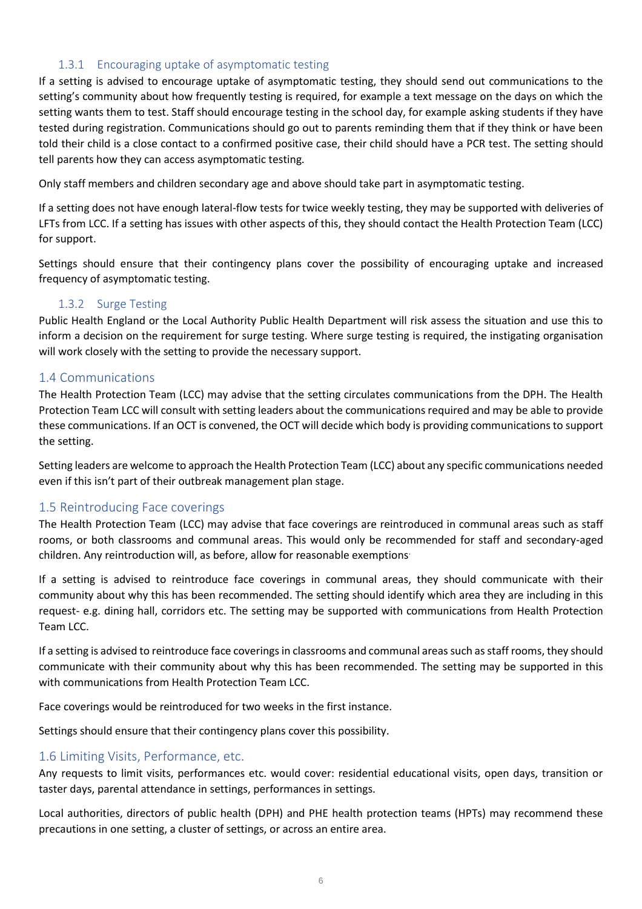### 1.3.1 Encouraging uptake of asymptomatic testing

If a setting is advised to encourage uptake of asymptomatic testing, they should send out communications to the setting's community about how frequently testing is required, for example a text message on the days on which the setting wants them to test. Staff should encourage testing in the school day, for example asking students if they have tested during registration. Communications should go out to parents reminding them that if they think or have been told their child is a close contact to a confirmed positive case, their child should have a PCR test. The setting should tell parents how they can access asymptomatic testing.

Only staff members and children secondary age and above should take part in asymptomatic testing.

If a setting does not have enough lateral-flow tests for twice weekly testing, they may be supported with deliveries of LFTs from LCC. If a setting has issues with other aspects of this, they should contact the Health Protection Team (LCC) for support.

Settings should ensure that their contingency plans cover the possibility of encouraging uptake and increased frequency of asymptomatic testing.

### 1.3.2 Surge Testing

Public Health England or the Local Authority Public Health Department will risk assess the situation and use this to inform a decision on the requirement for surge testing. Where surge testing is required, the instigating organisation will work closely with the setting to provide the necessary support.

### 1.4 Communications

The Health Protection Team (LCC) may advise that the setting circulates communications from the DPH. The Health Protection Team LCC will consult with setting leaders about the communications required and may be able to provide these communications. If an OCT is convened, the OCT will decide which body is providing communications to support the setting.

Setting leaders are welcome to approach the Health Protection Team (LCC) about any specific communications needed even if this isn't part of their outbreak management plan stage.

### 1.5 Reintroducing Face coverings

The Health Protection Team (LCC) may advise that face coverings are reintroduced in communal areas such as staff rooms, or both classrooms and communal areas. This would only be recommended for staff and secondary-aged children. Any reintroduction will, as before, allow for reasonable exemptions.

If a setting is advised to reintroduce face coverings in communal areas, they should communicate with their community about why this has been recommended. The setting should identify which area they are including in this request- e.g. dining hall, corridors etc. The setting may be supported with communications from Health Protection Team LCC.

If a setting is advised to reintroduce face coverings in classrooms and communal areas such as staff rooms, they should communicate with their community about why this has been recommended. The setting may be supported in this with communications from Health Protection Team LCC.

Face coverings would be reintroduced for two weeks in the first instance.

Settings should ensure that their contingency plans cover this possibility.

### 1.6 Limiting Visits, Performance, etc.

Any requests to limit visits, performances etc. would cover: residential educational visits, open days, transition or taster days, parental attendance in settings, performances in settings.

Local authorities, directors of public health (DPH) and PHE health protection teams (HPTs) may recommend these precautions in one setting, a cluster of settings, or across an entire area.